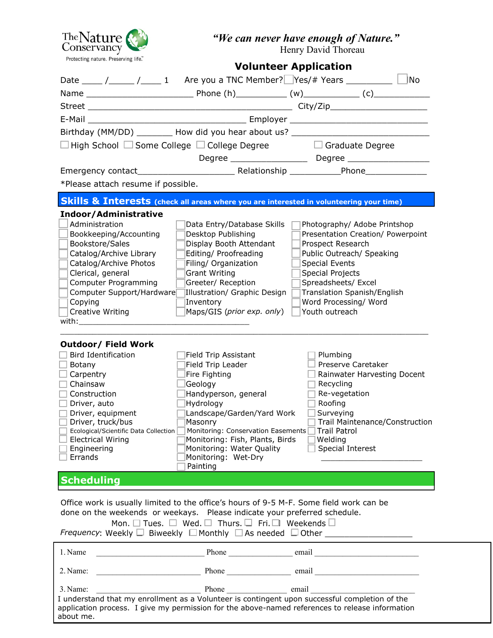

*"We can never have enough of Nature."*

Henry David Thoreau

| Protecting nature. Preserving life.                                                                                                                                                                                            |                                                                                | <b>Volunteer Application</b>                                                                                                                                                                                                   |
|--------------------------------------------------------------------------------------------------------------------------------------------------------------------------------------------------------------------------------|--------------------------------------------------------------------------------|--------------------------------------------------------------------------------------------------------------------------------------------------------------------------------------------------------------------------------|
| Date _____ /_____ /______ 1 Are you a TNC Member? Yes/# Years ___________ L                                                                                                                                                    |                                                                                | No                                                                                                                                                                                                                             |
|                                                                                                                                                                                                                                |                                                                                |                                                                                                                                                                                                                                |
|                                                                                                                                                                                                                                |                                                                                |                                                                                                                                                                                                                                |
|                                                                                                                                                                                                                                |                                                                                |                                                                                                                                                                                                                                |
|                                                                                                                                                                                                                                |                                                                                | Birthday (MM/DD) _________ How did you hear about us? __________________________                                                                                                                                               |
| $\Box$ High School $\Box$ Some College $\Box$ College Degree                                                                                                                                                                   |                                                                                | $\Box$ Graduate Degree                                                                                                                                                                                                         |
|                                                                                                                                                                                                                                |                                                                                |                                                                                                                                                                                                                                |
|                                                                                                                                                                                                                                |                                                                                |                                                                                                                                                                                                                                |
|                                                                                                                                                                                                                                |                                                                                |                                                                                                                                                                                                                                |
| *Please attach resume if possible.                                                                                                                                                                                             |                                                                                |                                                                                                                                                                                                                                |
| Skills & Interests (check all areas where you are interested in volunteering your time)                                                                                                                                        |                                                                                |                                                                                                                                                                                                                                |
| Indoor/Administrative                                                                                                                                                                                                          |                                                                                |                                                                                                                                                                                                                                |
| Administration                                                                                                                                                                                                                 | Data Entry/Database Skills                                                     | Photography/ Adobe Printshop                                                                                                                                                                                                   |
| Bookkeeping/Accounting                                                                                                                                                                                                         | Desktop Publishing                                                             | Presentation Creation/ Powerpoint                                                                                                                                                                                              |
| Bookstore/Sales                                                                                                                                                                                                                | Display Booth Attendant                                                        | Prospect Research                                                                                                                                                                                                              |
| Catalog/Archive Library                                                                                                                                                                                                        | Editing/ Proofreading                                                          | Public Outreach/ Speaking                                                                                                                                                                                                      |
| Catalog/Archive Photos                                                                                                                                                                                                         | Filing/ Organization                                                           | <b>Special Events</b>                                                                                                                                                                                                          |
| Clerical, general                                                                                                                                                                                                              | <b>Grant Writing</b>                                                           | Special Projects                                                                                                                                                                                                               |
| Computer Programming                                                                                                                                                                                                           | Greeter/ Reception                                                             | Spreadsheets/ Excel                                                                                                                                                                                                            |
| Computer Support/Hardware                                                                                                                                                                                                      | Illustration/ Graphic Design                                                   | Translation Spanish/English                                                                                                                                                                                                    |
| Copying<br>Creative Writing                                                                                                                                                                                                    | Inventory<br>Maps/GIS (prior exp. only)                                        | Word Processing/ Word<br>Youth outreach                                                                                                                                                                                        |
| with: with: with a state of the state of the state of the state of the state of the state of the state of the state of the state of the state of the state of the state of the state of the state of the state of the state of |                                                                                |                                                                                                                                                                                                                                |
|                                                                                                                                                                                                                                |                                                                                |                                                                                                                                                                                                                                |
| <b>Outdoor/ Field Work</b>                                                                                                                                                                                                     |                                                                                |                                                                                                                                                                                                                                |
| <b>Bird Identification</b>                                                                                                                                                                                                     | Field Trip Assistant                                                           | Plumbing                                                                                                                                                                                                                       |
| Botany                                                                                                                                                                                                                         | Field Trip Leader                                                              | Preserve Caretaker                                                                                                                                                                                                             |
| Carpentry                                                                                                                                                                                                                      | Fire Fighting                                                                  | Rainwater Harvesting Docent                                                                                                                                                                                                    |
| Chainsaw                                                                                                                                                                                                                       | Geology                                                                        | Recycling                                                                                                                                                                                                                      |
| Construction                                                                                                                                                                                                                   | Handyperson, general                                                           | Re-vegetation                                                                                                                                                                                                                  |
| Driver, auto                                                                                                                                                                                                                   | Hydrology                                                                      | Roofing                                                                                                                                                                                                                        |
| Driver, equipment                                                                                                                                                                                                              | Landscape/Garden/Yard Work                                                     | Surveying                                                                                                                                                                                                                      |
| Driver, truck/bus<br>Ecological/Scientific Data Collection                                                                                                                                                                     | Masonry<br>Monitoring: Conservation Easements                                  | Trail Maintenance/Construction<br><b>Trail Patrol</b>                                                                                                                                                                          |
| <b>Electrical Wiring</b>                                                                                                                                                                                                       | Monitoring: Fish, Plants, Birds                                                | Welding                                                                                                                                                                                                                        |
| Engineering                                                                                                                                                                                                                    | Monitoring: Water Quality                                                      | Special Interest                                                                                                                                                                                                               |
| Errands                                                                                                                                                                                                                        | Monitoring: Wet-Dry                                                            |                                                                                                                                                                                                                                |
|                                                                                                                                                                                                                                | Painting                                                                       |                                                                                                                                                                                                                                |
| <b>Scheduling</b>                                                                                                                                                                                                              |                                                                                |                                                                                                                                                                                                                                |
|                                                                                                                                                                                                                                |                                                                                |                                                                                                                                                                                                                                |
| Office work is usually limited to the office's hours of 9-5 M-F. Some field work can be                                                                                                                                        |                                                                                |                                                                                                                                                                                                                                |
| done on the weekends or weekays.  Please indicate your preferred schedule.                                                                                                                                                     | Mon. $\Box$ Tues. $\Box$ Wed. $\Box$ Thurs. $\Box$ Fri. $\Box$ Weekends $\Box$ |                                                                                                                                                                                                                                |
|                                                                                                                                                                                                                                |                                                                                |                                                                                                                                                                                                                                |
| 1. Name                                                                                                                                                                                                                        |                                                                                | Phone email email email email email expression of the state of the Phone email email email expression of the state of the state of the state of the state of the state of the state of the state of the state of the state of  |
|                                                                                                                                                                                                                                |                                                                                |                                                                                                                                                                                                                                |
| 2. Name:                                                                                                                                                                                                                       |                                                                                | Phone email email email email email expression and the same of the same of the same of the same of the same of the same of the same of the same of the same of the same of the same of the same of the same of the same of the |
| 3. Name:                                                                                                                                                                                                                       | Phone email                                                                    |                                                                                                                                                                                                                                |
|                                                                                                                                                                                                                                |                                                                                | I understand that my enrollment as a Volunteer is contingent upon successful completion of the                                                                                                                                 |
|                                                                                                                                                                                                                                |                                                                                | application process. I give my permission for the above-named references to release information                                                                                                                                |
| about me.                                                                                                                                                                                                                      |                                                                                |                                                                                                                                                                                                                                |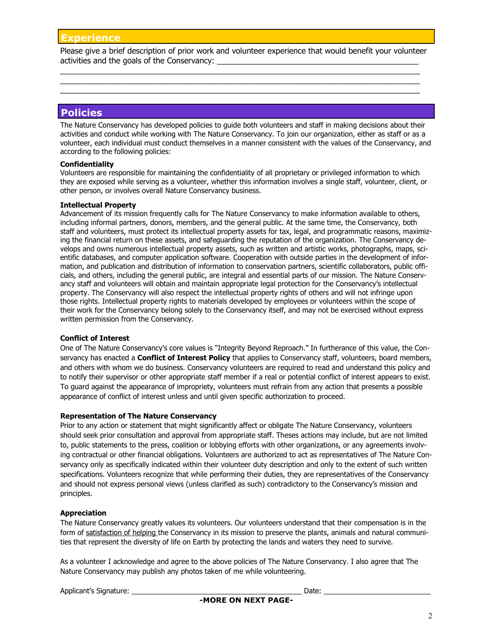Please give a brief description of prior work and volunteer experience that would benefit your volunteer activities and the goals of the Conservancy:

 $\_$  , and the set of the set of the set of the set of the set of the set of the set of the set of the set of the set of the set of the set of the set of the set of the set of the set of the set of the set of the set of th  $\_$  , and the set of the set of the set of the set of the set of the set of the set of the set of the set of the set of the set of the set of the set of the set of the set of the set of the set of the set of the set of th  $\_$  , and the set of the set of the set of the set of the set of the set of the set of the set of the set of the set of the set of the set of the set of the set of the set of the set of the set of the set of the set of th

# **Policies**

The Nature Conservancy has developed policies to guide both volunteers and staff in making decisions about their activities and conduct while working with The Nature Conservancy. To join our organization, either as staff or as a volunteer, each individual must conduct themselves in a manner consistent with the values of the Conservancy, and according to the following policies:

#### **Confidentiality**

Volunteers are responsible for maintaining the confidentiality of all proprietary or privileged information to which they are exposed while serving as a volunteer, whether this information involves a single staff, volunteer, client, or other person, or involves overall Nature Conservancy business.

#### **Intellectual Property**

Advancement of its mission frequently calls for The Nature Conservancy to make information available to others, including informal partners, donors, members, and the general public. At the same time, the Conservancy, both staff and volunteers, must protect its intellectual property assets for tax, legal, and programmatic reasons, maximizing the financial return on these assets, and safeguarding the reputation of the organization. The Conservancy develops and owns numerous intellectual property assets, such as written and artistic works, photographs, maps, scientific databases, and computer application software. Cooperation with outside parties in the development of information, and publication and distribution of information to conservation partners, scientific collaborators, public officials, and others, including the general public, are integral and essential parts of our mission. The Nature Conservancy staff and volunteers will obtain and maintain appropriate legal protection for the Conservancy's intellectual property. The Conservancy will also respect the intellectual property rights of others and will not infringe upon those rights. Intellectual property rights to materials developed by employees or volunteers within the scope of their work for the Conservancy belong solely to the Conservancy itself, and may not be exercised without express written permission from the Conservancy.

#### **Conflict of Interest**

One of The Nature Conservancy's core values is "Integrity Beyond Reproach." In furtherance of this value, the Conservancy has enacted a **Conflict of Interest Policy** that applies to Conservancy staff, volunteers, board members, and others with whom we do business. Conservancy volunteers are required to read and understand this policy and to notify their supervisor or other appropriate staff member if a real or potential conflict of interest appears to exist. To guard against the appearance of impropriety, volunteers must refrain from any action that presents a possible appearance of conflict of interest unless and until given specific authorization to proceed.

#### **Representation of The Nature Conservancy**

Prior to any action or statement that might significantly affect or obligate The Nature Conservancy, volunteers should seek prior consultation and approval from appropriate staff. Theses actions may include, but are not limited to, public statements to the press, coalition or lobbying efforts with other organizations, or any agreements involving contractual or other financial obligations. Volunteers are authorized to act as representatives of The Nature Conservancy only as specifically indicated within their volunteer duty description and only to the extent of such written specifications. Volunteers recognize that while performing their duties, they are representatives of the Conservancy and should not express personal views (unless clarified as such) contradictory to the Conservancy's mission and principles.

### **Appreciation**

The Nature Conservancy greatly values its volunteers. Our volunteers understand that their compensation is in the form of satisfaction of helping the Conservancy in its mission to preserve the plants, animals and natural communities that represent the diversity of life on Earth by protecting the lands and waters they need to survive.

As a volunteer I acknowledge and agree to the above policies of The Nature Conservancy. I also agree that The Nature Conservancy may publish any photos taken of me while volunteering.

Applicant's Signature: \_\_\_\_\_\_\_\_\_\_\_\_\_\_\_\_\_\_\_\_\_\_\_\_\_\_\_\_\_\_\_\_\_\_\_\_\_\_\_\_\_\_\_ Date: \_\_\_\_\_\_\_\_\_\_\_\_\_\_\_\_\_\_\_\_\_\_\_\_\_\_\_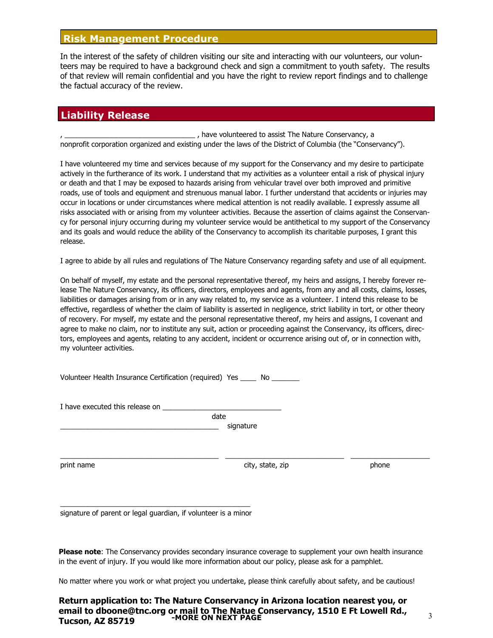## **Risk Management Procedure**

In the interest of the safety of children visiting our site and interacting with our volunteers, our volunteers may be required to have a background check and sign a commitment to youth safety. The results of that review will remain confidential and you have the right to review report findings and to challenge the factual accuracy of the review.

# **Liability Release**

, have volunteered to assist The Nature Conservancy, a nonprofit corporation organized and existing under the laws of the District of Columbia (the "Conservancy").

I have volunteered my time and services because of my support for the Conservancy and my desire to participate actively in the furtherance of its work. I understand that my activities as a volunteer entail a risk of physical injury or death and that I may be exposed to hazards arising from vehicular travel over both improved and primitive roads, use of tools and equipment and strenuous manual labor. I further understand that accidents or injuries may occur in locations or under circumstances where medical attention is not readily available. I expressly assume all risks associated with or arising from my volunteer activities. Because the assertion of claims against the Conservancy for personal injury occurring during my volunteer service would be antithetical to my support of the Conservancy and its goals and would reduce the ability of the Conservancy to accomplish its charitable purposes, I grant this release.

I agree to abide by all rules and regulations of The Nature Conservancy regarding safety and use of all equipment.

On behalf of myself, my estate and the personal representative thereof, my heirs and assigns, I hereby forever release The Nature Conservancy, its officers, directors, employees and agents, from any and all costs, claims, losses, liabilities or damages arising from or in any way related to, my service as a volunteer. I intend this release to be effective, regardless of whether the claim of liability is asserted in negligence, strict liability in tort, or other theory of recovery. For myself, my estate and the personal representative thereof, my heirs and assigns, I covenant and agree to make no claim, nor to institute any suit, action or proceeding against the Conservancy, its officers, directors, employees and agents, relating to any accident, incident or occurrence arising out of, or in connection with, my volunteer activities.

Volunteer Health Insurance Certification (required) Yes \_\_\_\_ No \_\_\_\_\_\_\_

I have executed this release on

date

signature

 $\_$  , and the set of the set of the set of the set of the set of the set of the set of the set of the set of the set of the set of the set of the set of the set of the set of the set of the set of the set of the set of th

print name and the control of the city, state, zip city, state, zip control of the phone

 $\overline{a_1^2 + a_2^2 + a_3^2 + a_4^2 + a_5^2 + a_6^2 + a_7^2 + a_8^2 + a_9^2 + a_9^2 + a_9^2 + a_9^2 + a_9^2 + a_9^2 + a_9^2 + a_9^2 + a_9^2 + a_9^2 + a_9^2 + a_9^2 + a_9^2 + a_9^2 + a_9^2 + a_9^2 + a_9^2 + a_9^2 + a_9^2 + a_9^2 + a_9^2 + a_9^2 + a_9^2 + a_9^2 + a_9^2 + a_9^2 + a_9^2 + a_9^2 +$ signature of parent or legal guardian, if volunteer is a minor

**Please note**: The Conservancy provides secondary insurance coverage to supplement your own health insurance in the event of injury. If you would like more information about our policy, please ask for a pamphlet.

No matter where you work or what project you undertake, please think carefully about safety, and be cautious!

#### **Return application to: The Nature Conservancy in Arizona location nearest you, or email to dboone@tnc.org or mail to The Natue Conservancy, 1510 E Ft Lowell Rd., Tucson, AZ 85719 -MORE ON NEXT PAGE**